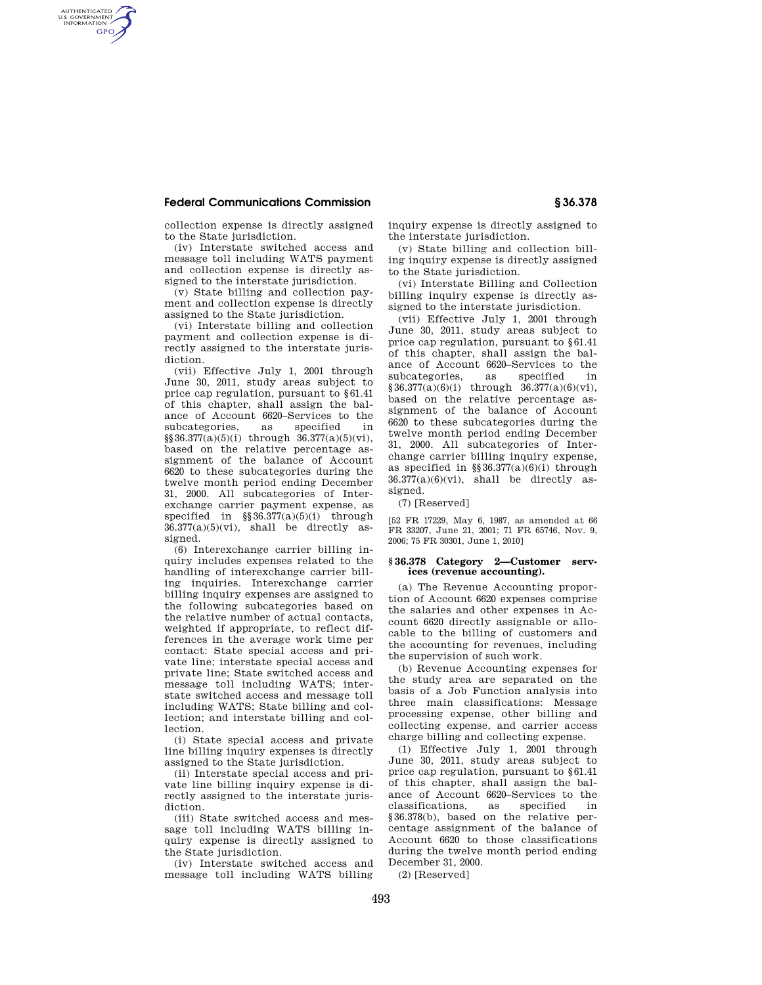# **Federal Communications Commission § 36.378**

AUTHENTICATED<br>U.S. GOVERNMENT<br>INFORMATION **GPO** 

collection expense is directly assigned to the State jurisdiction.

(iv) Interstate switched access and message toll including WATS payment and collection expense is directly assigned to the interstate jurisdiction.

(v) State billing and collection payment and collection expense is directly assigned to the State jurisdiction.

(vi) Interstate billing and collection payment and collection expense is directly assigned to the interstate jurisdiction.

(vii) Effective July 1, 2001 through June 30, 2011, study areas subject to price cap regulation, pursuant to §61.41 of this chapter, shall assign the balance of Account 6620–Services to the subcategories, as specified in  $\S$ §36.377(a)(5)(i) through  $36.377(a)(5)(vi)$ , based on the relative percentage assignment of the balance of Account 6620 to these subcategories during the twelve month period ending December 31, 2000. All subcategories of Interexchange carrier payment expense, as specified in  $\S$ §36.377(a)(5)(i) through  $36.377(a)(5)(vi)$ , shall be directly assigned.

(6) Interexchange carrier billing inquiry includes expenses related to the handling of interexchange carrier billing inquiries. Interexchange carrier billing inquiry expenses are assigned to the following subcategories based on the relative number of actual contacts, weighted if appropriate, to reflect differences in the average work time per contact: State special access and private line; interstate special access and private line; State switched access and message toll including WATS; interstate switched access and message toll including WATS; State billing and collection; and interstate billing and collection.

(i) State special access and private line billing inquiry expenses is directly assigned to the State jurisdiction.

(ii) Interstate special access and private line billing inquiry expense is directly assigned to the interstate jurisdiction.

(iii) State switched access and message toll including WATS billing inquiry expense is directly assigned to the State jurisdiction.

(iv) Interstate switched access and message toll including WATS billing inquiry expense is directly assigned to the interstate jurisdiction.

(v) State billing and collection billing inquiry expense is directly assigned to the State jurisdiction.

(vi) Interstate Billing and Collection billing inquiry expense is directly assigned to the interstate jurisdiction.

(vii) Effective July 1, 2001 through June 30, 2011, study areas subject to price cap regulation, pursuant to §61.41 of this chapter, shall assign the balance of Account 6620–Services to the subcategories, as specified in  $§ 36.377(a)(6)(i)$  through  $36.377(a)(6)(vi)$ , based on the relative percentage assignment of the balance of Account 6620 to these subcategories during the twelve month period ending December 31, 2000. All subcategories of Interchange carrier billing inquiry expense, as specified in  $\S$ 36.377(a)(6)(i) through  $36.377(a)(6)(vi)$ , shall be directly assigned.

(7) [Reserved]

[52 FR 17229, May 6, 1987, as amended at 66 FR 33207, June 21, 2001; 71 FR 65746, Nov. 9, 2006; 75 FR 30301, June 1, 2010]

## **§ 36.378 Category 2—Customer services (revenue accounting).**

(a) The Revenue Accounting proportion of Account 6620 expenses comprise the salaries and other expenses in Account 6620 directly assignable or allocable to the billing of customers and the accounting for revenues, including the supervision of such work.

(b) Revenue Accounting expenses for the study area are separated on the basis of a Job Function analysis into three main classifications: Message processing expense, other billing and collecting expense, and carrier access charge billing and collecting expense.

(1) Effective July 1, 2001 through June 30, 2011, study areas subject to price cap regulation, pursuant to §61.41 of this chapter, shall assign the balance of Account 6620–Services to the classifications, as specified in §36.378(b), based on the relative percentage assignment of the balance of Account 6620 to those classifications during the twelve month period ending December 31, 2000.

(2) [Reserved]